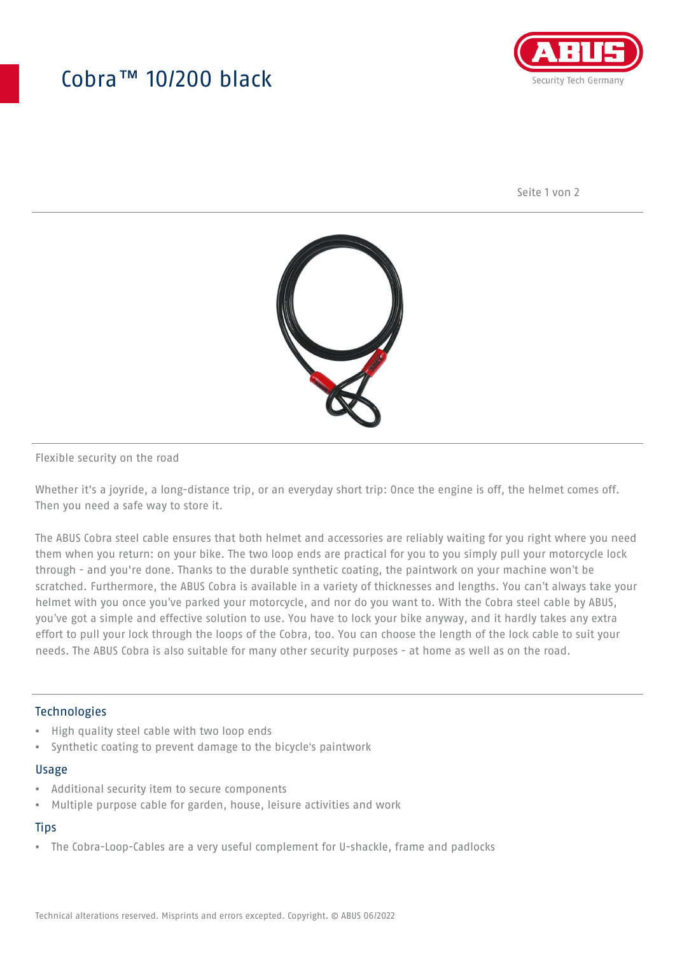## Cobra™ 10/200 black



Seite 1 von 2



#### Flexible security on the road

Whether it's a joyride, a long-distance trip, or an everyday short trip: Once the engine is off, the helmet comes off. Then you need a safe way to store it.

The ABUS Cobra steel cable ensures that both helmet and accessories are reliably waiting for you right where you need them when you return: on your bike. The two loop ends are practical for you to you simply pull your motorcycle lock through - and you're done. Thanks to the durable synthetic coating, the paintwork on your machine won't be scratched. Furthermore, the ABUS Cobra is available in a variety of thicknesses and lengths. You can't always take your helmet with you once you've parked your motorcycle, and nor do you want to. With the Cobra steel cable by ABUS, you've got a simple and effective solution to use. You have to lock your bike anyway, and it hardly takes any extra effort to pull your lock through the loops of the Cobra, too. You can choose the length of the lock cable to suit your needs. The ABUS Cobra is also suitable for many other security purposes - at home as well as on the road.

#### **Technologies**

- High quality steel cable with two loop ends
- Synthetic coating to prevent damage to the bicycle's paintwork

#### Usage

- Additional security item to secure components
- Multiple purpose cable for garden, house, leisure activities and work

### **Tips**

• The Cobra-Loop-Cables are a very useful complement for U-shackle, frame and padlocks